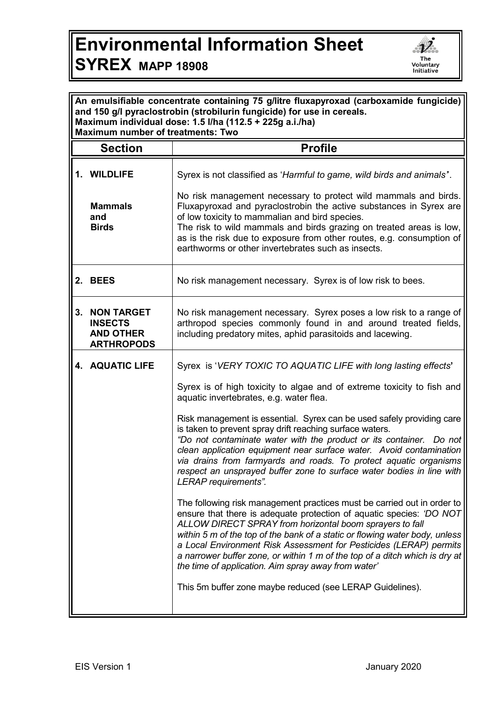## **Environmental Information Sheet SYREX MAPP 18908**



| An emulsifiable concentrate containing 75 g/litre fluxapyroxad (carboxamide fungicide)<br>and 150 g/l pyraclostrobin (strobilurin fungicide) for use in cereals.<br>Maximum individual dose: 1.5 l/ha (112.5 + 225g a.i./ha)<br><b>Maximum number of treatments: Two</b> |                                                                                                                                                                                                                                                                                                                                                                                                                                                                                                        |  |
|--------------------------------------------------------------------------------------------------------------------------------------------------------------------------------------------------------------------------------------------------------------------------|--------------------------------------------------------------------------------------------------------------------------------------------------------------------------------------------------------------------------------------------------------------------------------------------------------------------------------------------------------------------------------------------------------------------------------------------------------------------------------------------------------|--|
| <b>Section</b>                                                                                                                                                                                                                                                           | <b>Profile</b>                                                                                                                                                                                                                                                                                                                                                                                                                                                                                         |  |
| 1. WILDLIFE                                                                                                                                                                                                                                                              | Syrex is not classified as 'Harmful to game, wild birds and animals".                                                                                                                                                                                                                                                                                                                                                                                                                                  |  |
| <b>Mammals</b><br>and<br><b>Birds</b>                                                                                                                                                                                                                                    | No risk management necessary to protect wild mammals and birds.<br>Fluxapyroxad and pyraclostrobin the active substances in Syrex are<br>of low toxicity to mammalian and bird species.<br>The risk to wild mammals and birds grazing on treated areas is low,<br>as is the risk due to exposure from other routes, e.g. consumption of<br>earthworms or other invertebrates such as insects.                                                                                                          |  |
| 2. BEES                                                                                                                                                                                                                                                                  | No risk management necessary. Syrex is of low risk to bees.                                                                                                                                                                                                                                                                                                                                                                                                                                            |  |
| <b>NON TARGET</b><br>3.<br><b>INSECTS</b><br><b>AND OTHER</b><br><b>ARTHROPODS</b>                                                                                                                                                                                       | No risk management necessary. Syrex poses a low risk to a range of<br>arthropod species commonly found in and around treated fields,<br>including predatory mites, aphid parasitoids and lacewing.                                                                                                                                                                                                                                                                                                     |  |
| 4. AQUATIC LIFE                                                                                                                                                                                                                                                          | Syrex is 'VERY TOXIC TO AQUATIC LIFE with long lasting effects'                                                                                                                                                                                                                                                                                                                                                                                                                                        |  |
|                                                                                                                                                                                                                                                                          | Syrex is of high toxicity to algae and of extreme toxicity to fish and<br>aquatic invertebrates, e.g. water flea.                                                                                                                                                                                                                                                                                                                                                                                      |  |
|                                                                                                                                                                                                                                                                          | Risk management is essential. Syrex can be used safely providing care<br>is taken to prevent spray drift reaching surface waters.<br>"Do not contaminate water with the product or its container. Do not<br>clean application equipment near surface water. Avoid contamination<br>via drains from farmyards and roads. To protect aquatic organisms<br>respect an unsprayed buffer zone to surface water bodies in line with<br>LERAP requirements".                                                  |  |
|                                                                                                                                                                                                                                                                          | The following risk management practices must be carried out in order to<br>ensure that there is adequate protection of aquatic species: 'DO NOT<br>ALLOW DIRECT SPRAY from horizontal boom sprayers to fall<br>within 5 m of the top of the bank of a static or flowing water body, unless<br>a Local Environment Risk Assessment for Pesticides (LERAP) permits<br>a narrower buffer zone, or within 1 m of the top of a ditch which is dry at<br>the time of application. Aim spray away from water' |  |
|                                                                                                                                                                                                                                                                          | This 5m buffer zone maybe reduced (see LERAP Guidelines).                                                                                                                                                                                                                                                                                                                                                                                                                                              |  |